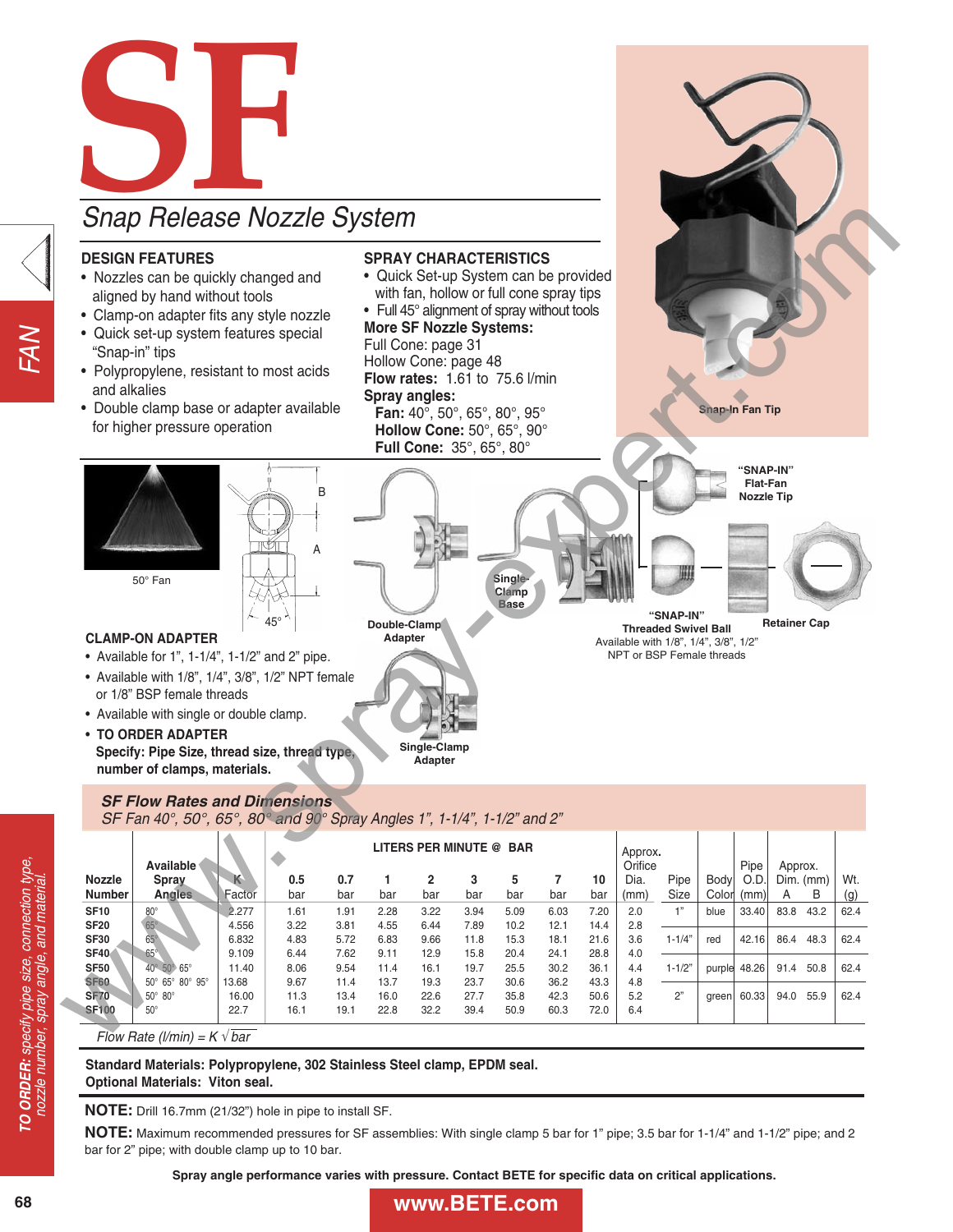

### **SF Flow Rates and Dimensions** SF Fan 40°, 50°, 65°, 80° and 90° Spray Angles 1", 1-1/4", 1-1/2" and 2"

|                                  | Available                            |                |              |              |              | LITERS PER MINUTE @ BAR |              |              |              |              | Approx.<br>Orifice |              |                      |                      |              |                  |            |
|----------------------------------|--------------------------------------|----------------|--------------|--------------|--------------|-------------------------|--------------|--------------|--------------|--------------|--------------------|--------------|----------------------|----------------------|--------------|------------------|------------|
| <b>Nozzle</b><br><b>Number</b>   | Spray<br>Angles                      | κ<br>Factor    | 0.5<br>bar   | 0.7<br>bar   | bar          | 2<br>bar                | 3<br>bar     | 5<br>bar     | 7<br>bar     | 10<br>bar    | Dia.<br>(mm)       | Pipe<br>Size | <b>Body</b><br>Color | Pipe<br>O.D.<br>(mm) | Approx.<br>A | $Dim.$ (mm)<br>В | Wt.<br>(g) |
| <b>SF10</b>                      | $80^\circ$                           | 2.277          | 1.61         | 1.91         | 2.28         | 3.22                    | 3.94         | 5.09         | 6.03         | 7.20         | 2.0                | 1"           | blue                 | 33.40                | 83.8         | 43.2             | 62.4       |
| <b>SF20</b><br><b>SF30</b>       | $65^\circ$<br>$65^\circ$             | 4.556<br>6.832 | 3.22<br>4.83 | 3.81<br>5.72 | 4.55<br>6.83 | 6.44<br>9.66            | 7.89<br>11.8 | 10.2<br>15.3 | 12.1<br>18.1 | 14.4<br>21.6 | 2.8<br>3.6         | $1 - 1/4"$   | red                  | 42.16                | 86.4         | 48.3             | 62.4       |
| <b>SF40</b><br><b>SF50</b>       | $65^\circ$<br>40° 50° 65°            | 9.109<br>11.40 | 6.44<br>8.06 | 7.62<br>9.54 | 9.11<br>11.4 | 12.9<br>16.1            | 15.8<br>19.7 | 20.4<br>25.5 | 24.1<br>30.2 | 28.8<br>36.1 | 4.0<br>4.4         | $1 - 1/2"$   | purple               | 48.26                | 91.4         | 50.8             | 62.4       |
| <b>SF60</b>                      | 50° 65° 80° 95°                      | 13.68          | 9.67         | 11.4         | 13.7         | 19.3                    | 23.7         | 30.6         | 36.2         | 43.3         | 4.8                |              |                      |                      |              |                  |            |
| <b>SF70</b><br><b>SF100</b>      | $50^\circ$ 80 $^\circ$<br>$50^\circ$ | 16.00<br>22.7  | 11.3<br>16.1 | 13.4<br>19.1 | 16.0<br>22.8 | 22.6<br>32.2            | 27.7<br>39.4 | 35.8<br>50.9 | 42.3<br>60.3 | 50.6<br>72.0 | 5.2<br>6.4         | 2"           | green                | 60.33                | 94.0         | 55.9             | 62.4       |
| Flow Rate (I/min) = $K \vee bar$ |                                      |                |              |              |              |                         |              |              |              |              |                    |              |                      |                      |              |                  |            |

**Standard Materials: Polypropylene, 302 Stainless Steel clamp, EPDM seal. Optional Materials: Viton seal.**

**NOTE:** Drill 16.7mm (21/32") hole in pipe to install SF.

**NOTE:** Maximum recommended pressures for SF assemblies: With single clamp 5 bar for 1" pipe; 3.5 bar for 1-1/4" and 1-1/2" pipe; and 2 bar for 2" pipe; with double clamp up to 10 bar.

**Spray angle performance varies with pressure. Contact BETE for specific data on critical applications.**

68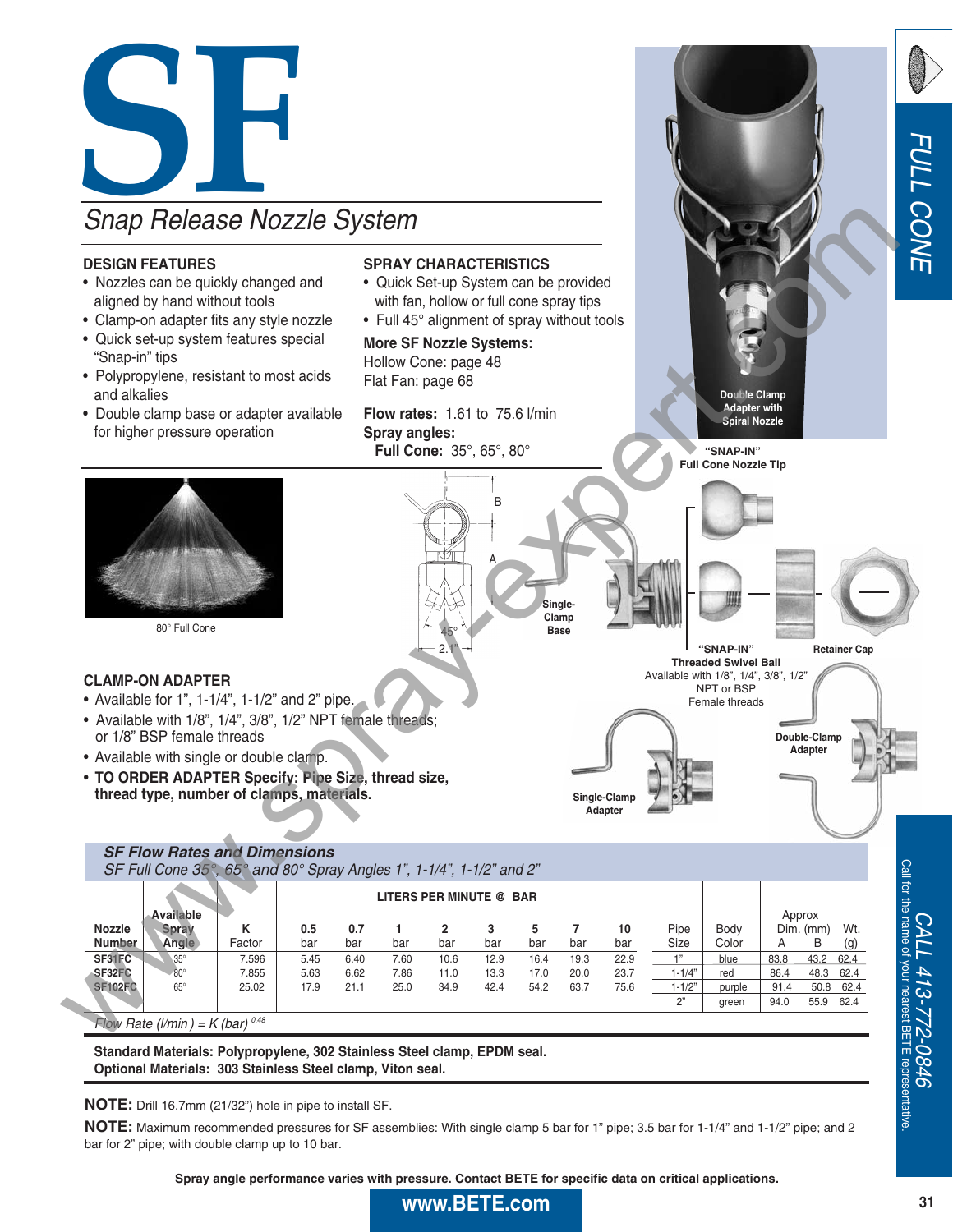

• **TO ORDER ADAPTER Specify: Pipe Size, thread size, thread type, number of clamps, materials.**

### **SF Flow Rates and Dimensions** SF Full Cone 35°, 65° and 80° Spray Angles 1", 1-1/4", 1-1/2" and 2"

**LITERS PER MINUTE @ BAR Available** Approx **Nozzle Spray K | 0.5 0.7 1 2 3 5 7 10** Pipe | Body | Dim. (mm) | Wt. **Number Angle** Factor bar bar bar bar bar bar bar bar Size Color A B (g) **SF31FC 3**5° 7.596 5.45 6.40 7.60 10.6 12.9 16.4 19.3 22.9 <u> 1" blue 83.8 43.2 62.4</u> **SF32FC** 80° | 7.855 | 5.63 6.62 7.86 11.0 13.3 17.0 20.0 23.7 \_\_\_1-1/4" red | 86.4 48.3 |62.4 **SF102FC** 65° | 25.02 | 17.9 21.1 25.0 34.9 42.4 54.2 63.7 75.6 \_ 1-1/2" purple 91.4 50.8 62.4 2" | green | 94.0 55.9 62.4

**Single-Clamp Adapter**

Flow Rate (I/min) =  $K$  (bar)  $0.48$ 

**Standard Materials: Polypropylene, 302 Stainless Steel clamp, EPDM seal. Optional Materials: 303 Stainless Steel clamp, Viton seal.**

**NOTE:** Drill 16.7mm (21/32") hole in pipe to install SF.

**NOTE:** Maximum recommended pressures for SF assemblies: With single clamp 5 bar for 1" pipe; 3.5 bar for 1-1/4" and 1-1/2" pipe; and 2 bar for 2" pipe; with double clamp up to 10 bar.

**Spray angle performance varies with pressure. Contact BETE for specific data on critical applications.**